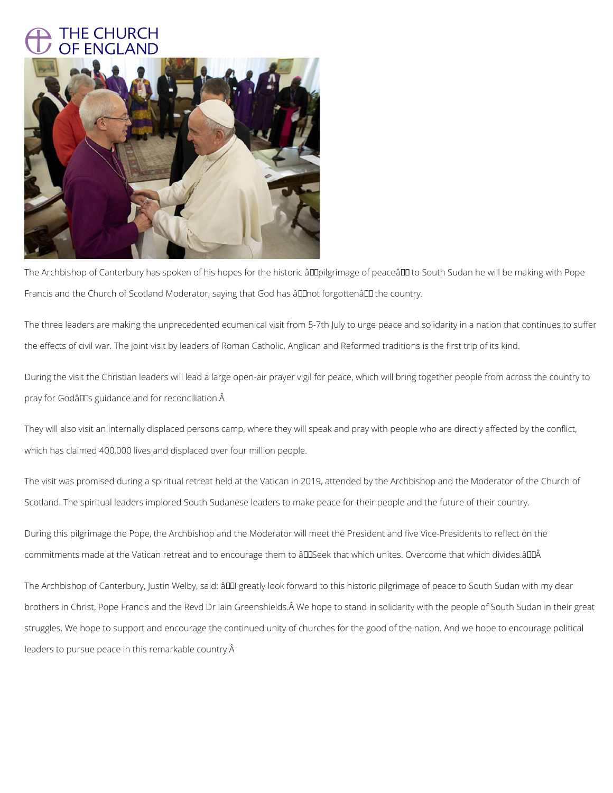## THE CHURCH OF ENGLAND



The Archbishop of Canterbury has spoken of his hopes for the historic âll pilgrimage of peaceâ I to South Sudan he will be making with Pope Francis and the Church of Scotland Moderator, saying that God has âll Inot forgottenâl II the country.

During the visit the Christian leaders will lead a large open-air prayer vigil for peace, which will bring together people from across the country to pray for Godâlles guidance and for reconciliation. Â

The three leaders are making the unprecedented ecumenical visit from 5-7th July to urge peace and solidarity in a nation that continues to suffer the effects of civil war. The joint visit by leaders of Roman Catholic, Anglican and Reformed traditions is the first trip of its kind.

During this pilgrimage the Pope, the Archbishop and the Moderator will meet the President and five Vice-Presidents to reflect on the commitments made at the Vatican retreat and to encourage them to âDDSeek that which unites. Overcome that which divides.âDDÂ

The Archbishop of Canterbury, Justin Welby, said:  $\frac{\partial \Pi}{\partial x}$  greatly look forward to this historic pilgrimage of peace to South Sudan with my dear

brothers in Christ, Pope Francis and the Revd Dr Iain Greenshields. We hope to stand in solidarity with the people of South Sudan in their great

They will also visit an internally displaced persons camp, where they will speak and pray with people who are directly affected by the conflict, which has claimed 400,000 lives and displaced over four million people.

The visit was promised during a spiritual retreat held at the Vatican in 2019, attended by the Archbishop and the Moderator of the Church of Scotland. The spiritual leaders implored South Sudanese leaders to make peace for their people and the future of their country.

struggles. We hope to support and encourage the continued unity of churches for the good of the nation. And we hope to encourage political

leaders to pursue peace in this remarkable country.